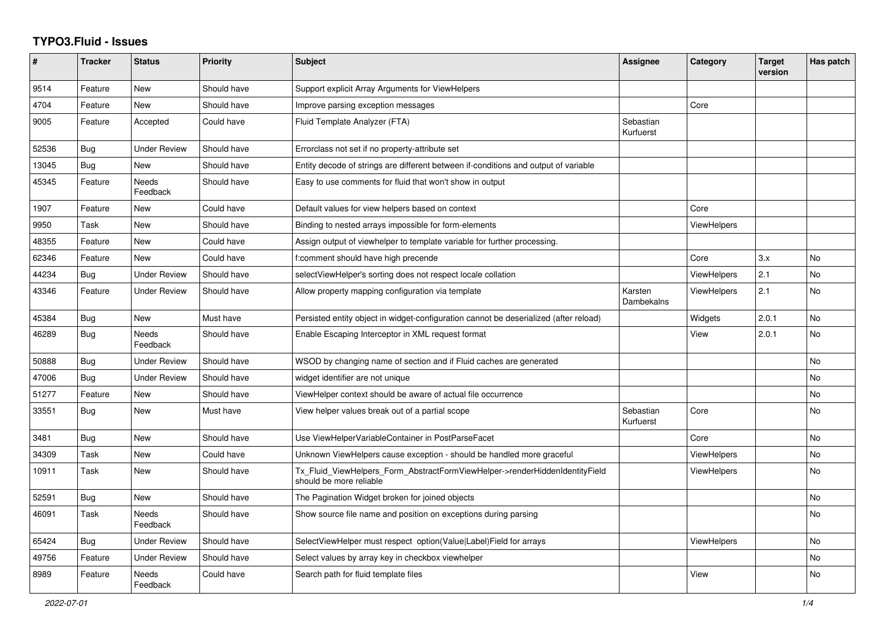## **TYPO3.Fluid - Issues**

| #     | <b>Tracker</b> | <b>Status</b>            | <b>Priority</b> | Subject                                                                                                | Assignee               | Category           | <b>Target</b><br>version | Has patch |
|-------|----------------|--------------------------|-----------------|--------------------------------------------------------------------------------------------------------|------------------------|--------------------|--------------------------|-----------|
| 9514  | Feature        | New                      | Should have     | Support explicit Array Arguments for ViewHelpers                                                       |                        |                    |                          |           |
| 4704  | Feature        | New                      | Should have     | Improve parsing exception messages                                                                     |                        | Core               |                          |           |
| 9005  | Feature        | Accepted                 | Could have      | Fluid Template Analyzer (FTA)                                                                          | Sebastian<br>Kurfuerst |                    |                          |           |
| 52536 | Bug            | <b>Under Review</b>      | Should have     | Errorclass not set if no property-attribute set                                                        |                        |                    |                          |           |
| 13045 | Bug            | New                      | Should have     | Entity decode of strings are different between if-conditions and output of variable                    |                        |                    |                          |           |
| 45345 | Feature        | Needs<br>Feedback        | Should have     | Easy to use comments for fluid that won't show in output                                               |                        |                    |                          |           |
| 1907  | Feature        | New                      | Could have      | Default values for view helpers based on context                                                       |                        | Core               |                          |           |
| 9950  | Task           | New                      | Should have     | Binding to nested arrays impossible for form-elements                                                  |                        | <b>ViewHelpers</b> |                          |           |
| 48355 | Feature        | New                      | Could have      | Assign output of viewhelper to template variable for further processing.                               |                        |                    |                          |           |
| 62346 | Feature        | <b>New</b>               | Could have      | f:comment should have high precende                                                                    |                        | Core               | 3.x                      | <b>No</b> |
| 44234 | Bug            | <b>Under Review</b>      | Should have     | selectViewHelper's sorting does not respect locale collation                                           |                        | ViewHelpers        | 2.1                      | No        |
| 43346 | Feature        | <b>Under Review</b>      | Should have     | Allow property mapping configuration via template                                                      | Karsten<br>Dambekalns  | <b>ViewHelpers</b> | 2.1                      | <b>No</b> |
| 45384 | <b>Bug</b>     | New                      | Must have       | Persisted entity object in widget-configuration cannot be deserialized (after reload)                  |                        | Widgets            | 2.0.1                    | No        |
| 46289 | Bug            | <b>Needs</b><br>Feedback | Should have     | Enable Escaping Interceptor in XML request format                                                      |                        | View               | 2.0.1                    | No        |
| 50888 | Bug            | <b>Under Review</b>      | Should have     | WSOD by changing name of section and if Fluid caches are generated                                     |                        |                    |                          | <b>No</b> |
| 47006 | Bug            | <b>Under Review</b>      | Should have     | widget identifier are not unique                                                                       |                        |                    |                          | <b>No</b> |
| 51277 | Feature        | New                      | Should have     | ViewHelper context should be aware of actual file occurrence                                           |                        |                    |                          | No        |
| 33551 | Bug            | New                      | Must have       | View helper values break out of a partial scope                                                        | Sebastian<br>Kurfuerst | Core               |                          | No        |
| 3481  | <b>Bug</b>     | New                      | Should have     | Use ViewHelperVariableContainer in PostParseFacet                                                      |                        | Core               |                          | No        |
| 34309 | Task           | New                      | Could have      | Unknown ViewHelpers cause exception - should be handled more graceful                                  |                        | <b>ViewHelpers</b> |                          | <b>No</b> |
| 10911 | Task           | New                      | Should have     | Tx_Fluid_ViewHelpers_Form_AbstractFormViewHelper->renderHiddenIdentityField<br>should be more reliable |                        | <b>ViewHelpers</b> |                          | <b>No</b> |
| 52591 | Bug            | <b>New</b>               | Should have     | The Pagination Widget broken for joined objects                                                        |                        |                    |                          | <b>No</b> |
| 46091 | Task           | Needs<br>Feedback        | Should have     | Show source file name and position on exceptions during parsing                                        |                        |                    |                          | <b>No</b> |
| 65424 | Bug            | <b>Under Review</b>      | Should have     | SelectViewHelper must respect option(Value Label)Field for arrays                                      |                        | ViewHelpers        |                          | <b>No</b> |
| 49756 | Feature        | Under Review             | Should have     | Select values by array key in checkbox viewhelper                                                      |                        |                    |                          | No        |
| 8989  | Feature        | Needs<br>Feedback        | Could have      | Search path for fluid template files                                                                   |                        | View               |                          | <b>No</b> |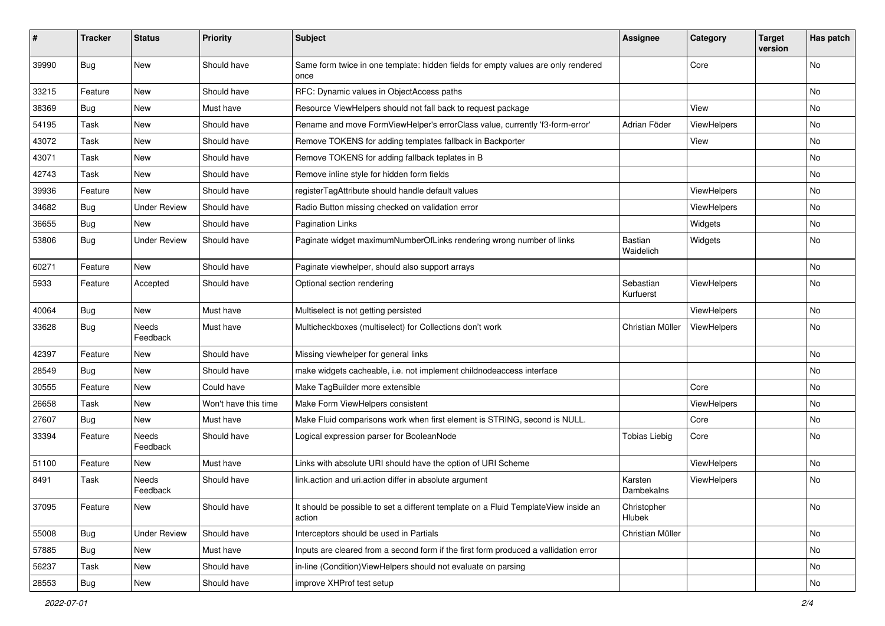| ∦     | <b>Tracker</b> | <b>Status</b>            | <b>Priority</b>      | <b>Subject</b>                                                                                | <b>Assignee</b>        | Category    | <b>Target</b><br>version | Has patch |
|-------|----------------|--------------------------|----------------------|-----------------------------------------------------------------------------------------------|------------------------|-------------|--------------------------|-----------|
| 39990 | Bug            | New                      | Should have          | Same form twice in one template: hidden fields for empty values are only rendered<br>once     |                        | Core        |                          | No        |
| 33215 | Feature        | New                      | Should have          | RFC: Dynamic values in ObjectAccess paths                                                     |                        |             |                          | No.       |
| 38369 | Bug            | New                      | Must have            | Resource ViewHelpers should not fall back to request package                                  |                        | View        |                          | No        |
| 54195 | Task           | New                      | Should have          | Rename and move FormViewHelper's errorClass value, currently 'f3-form-error'                  | Adrian Föder           | ViewHelpers |                          | No        |
| 43072 | Task           | New                      | Should have          | Remove TOKENS for adding templates fallback in Backporter                                     |                        | View        |                          | No.       |
| 43071 | Task           | New                      | Should have          | Remove TOKENS for adding fallback teplates in B                                               |                        |             |                          | No        |
| 42743 | Task           | New                      | Should have          | Remove inline style for hidden form fields                                                    |                        |             |                          | No        |
| 39936 | Feature        | New                      | Should have          | registerTagAttribute should handle default values                                             |                        | ViewHelpers |                          | No        |
| 34682 | Bug            | <b>Under Review</b>      | Should have          | Radio Button missing checked on validation error                                              |                        | ViewHelpers |                          | No.       |
| 36655 | Bug            | <b>New</b>               | Should have          | <b>Pagination Links</b>                                                                       |                        | Widgets     |                          | No.       |
| 53806 | Bug            | <b>Under Review</b>      | Should have          | Paginate widget maximumNumberOfLinks rendering wrong number of links                          | Bastian<br>Waidelich   | Widgets     |                          | No        |
| 60271 | Feature        | <b>New</b>               | Should have          | Paginate viewhelper, should also support arrays                                               |                        |             |                          | No        |
| 5933  | Feature        | Accepted                 | Should have          | Optional section rendering                                                                    | Sebastian<br>Kurfuerst | ViewHelpers |                          | No        |
| 40064 | Bug            | New                      | Must have            | Multiselect is not getting persisted                                                          |                        | ViewHelpers |                          | No        |
| 33628 | Bug            | Needs<br>Feedback        | Must have            | Multicheckboxes (multiselect) for Collections don't work                                      | Christian Müller       | ViewHelpers |                          | No        |
| 42397 | Feature        | New                      | Should have          | Missing viewhelper for general links                                                          |                        |             |                          | No        |
| 28549 | Bug            | New                      | Should have          | make widgets cacheable, i.e. not implement childnodeaccess interface                          |                        |             |                          | No        |
| 30555 | Feature        | <b>New</b>               | Could have           | Make TagBuilder more extensible                                                               |                        | Core        |                          | No        |
| 26658 | Task           | New                      | Won't have this time | Make Form ViewHelpers consistent                                                              |                        | ViewHelpers |                          | No        |
| 27607 | Bug            | New                      | Must have            | Make Fluid comparisons work when first element is STRING, second is NULL.                     |                        | Core        |                          | No        |
| 33394 | Feature        | <b>Needs</b><br>Feedback | Should have          | Logical expression parser for BooleanNode                                                     | <b>Tobias Liebig</b>   | Core        |                          | No        |
| 51100 | Feature        | New                      | Must have            | Links with absolute URI should have the option of URI Scheme                                  |                        | ViewHelpers |                          | No        |
| 8491  | Task           | Needs<br>Feedback        | Should have          | link.action and uri.action differ in absolute argument                                        | Karsten<br>Dambekalns  | ViewHelpers |                          | No        |
| 37095 | Feature        | New                      | Should have          | It should be possible to set a different template on a Fluid TemplateView inside an<br>action | Christopher<br>Hlubek  |             |                          | No        |
| 55008 | Bug            | <b>Under Review</b>      | Should have          | Interceptors should be used in Partials                                                       | Christian Müller       |             |                          | No        |
| 57885 | Bug            | New                      | Must have            | Inputs are cleared from a second form if the first form produced a vallidation error          |                        |             |                          | No        |
| 56237 | Task           | New                      | Should have          | in-line (Condition) View Helpers should not evaluate on parsing                               |                        |             |                          | No        |
| 28553 | <b>Bug</b>     | New                      | Should have          | improve XHProf test setup                                                                     |                        |             |                          | No        |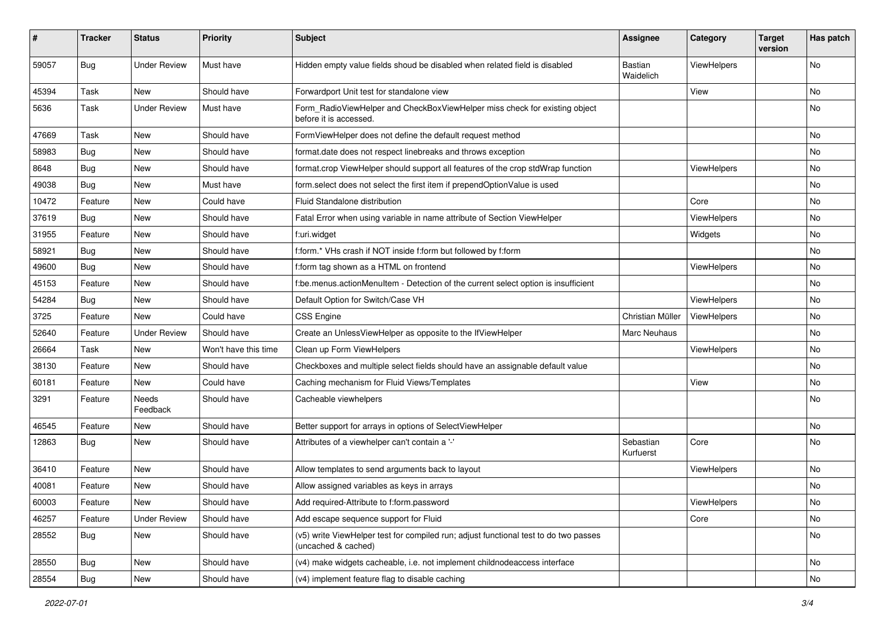| #     | <b>Tracker</b> | <b>Status</b>       | Priority             | Subject                                                                                                     | <b>Assignee</b>        | Category    | <b>Target</b><br>version | Has patch |
|-------|----------------|---------------------|----------------------|-------------------------------------------------------------------------------------------------------------|------------------------|-------------|--------------------------|-----------|
| 59057 | Bug            | <b>Under Review</b> | Must have            | Hidden empty value fields shoud be disabled when related field is disabled                                  | Bastian<br>Waidelich   | ViewHelpers |                          | <b>No</b> |
| 45394 | Task           | New                 | Should have          | Forwardport Unit test for standalone view                                                                   |                        | View        |                          | No        |
| 5636  | Task           | <b>Under Review</b> | Must have            | Form_RadioViewHelper and CheckBoxViewHelper miss check for existing object<br>before it is accessed.        |                        |             |                          | No        |
| 47669 | Task           | New                 | Should have          | FormViewHelper does not define the default request method                                                   |                        |             |                          | <b>No</b> |
| 58983 | <b>Bug</b>     | New                 | Should have          | format.date does not respect linebreaks and throws exception                                                |                        |             |                          | No        |
| 8648  | Bug            | New                 | Should have          | format.crop ViewHelper should support all features of the crop stdWrap function                             |                        | ViewHelpers |                          | No        |
| 49038 | Bug            | New                 | Must have            | form.select does not select the first item if prependOptionValue is used                                    |                        |             |                          | No        |
| 10472 | Feature        | New                 | Could have           | <b>Fluid Standalone distribution</b>                                                                        |                        | Core        |                          | No        |
| 37619 | Bug            | New                 | Should have          | Fatal Error when using variable in name attribute of Section ViewHelper                                     |                        | ViewHelpers |                          | No        |
| 31955 | Feature        | New                 | Should have          | f:uri.widget                                                                                                |                        | Widgets     |                          | No        |
| 58921 | Bug            | New                 | Should have          | f:form.* VHs crash if NOT inside f:form but followed by f:form                                              |                        |             |                          | No        |
| 49600 | Bug            | <b>New</b>          | Should have          | f:form tag shown as a HTML on frontend                                                                      |                        | ViewHelpers |                          | <b>No</b> |
| 45153 | Feature        | New                 | Should have          | f:be.menus.actionMenuItem - Detection of the current select option is insufficient                          |                        |             |                          | No        |
| 54284 | Bug            | New                 | Should have          | Default Option for Switch/Case VH                                                                           |                        | ViewHelpers |                          | No        |
| 3725  | Feature        | <b>New</b>          | Could have           | <b>CSS Engine</b>                                                                                           | Christian Müller       | ViewHelpers |                          | <b>No</b> |
| 52640 | Feature        | <b>Under Review</b> | Should have          | Create an UnlessViewHelper as opposite to the IfViewHelper                                                  | Marc Neuhaus           |             |                          | No        |
| 26664 | Task           | New                 | Won't have this time | Clean up Form ViewHelpers                                                                                   |                        | ViewHelpers |                          | <b>No</b> |
| 38130 | Feature        | New                 | Should have          | Checkboxes and multiple select fields should have an assignable default value                               |                        |             |                          | No        |
| 60181 | Feature        | New                 | Could have           | Caching mechanism for Fluid Views/Templates                                                                 |                        | View        |                          | No        |
| 3291  | Feature        | Needs<br>Feedback   | Should have          | Cacheable viewhelpers                                                                                       |                        |             |                          | No        |
| 46545 | Feature        | New                 | Should have          | Better support for arrays in options of SelectViewHelper                                                    |                        |             |                          | No        |
| 12863 | Bug            | New                 | Should have          | Attributes of a viewhelper can't contain a '-'                                                              | Sebastian<br>Kurfuerst | Core        |                          | <b>No</b> |
| 36410 | Feature        | New                 | Should have          | Allow templates to send arguments back to layout                                                            |                        | ViewHelpers |                          | <b>No</b> |
| 40081 | Feature        | New                 | Should have          | Allow assigned variables as keys in arrays                                                                  |                        |             |                          | No        |
| 60003 | Feature        | New                 | Should have          | Add required-Attribute to f:form.password                                                                   |                        | ViewHelpers |                          | NO.       |
| 46257 | Feature        | <b>Under Review</b> | Should have          | Add escape sequence support for Fluid                                                                       |                        | Core        |                          | No        |
| 28552 | Bug            | New                 | Should have          | (v5) write ViewHelper test for compiled run; adjust functional test to do two passes<br>(uncached & cached) |                        |             |                          | No        |
| 28550 | Bug            | New                 | Should have          | (v4) make widgets cacheable, i.e. not implement childnodeaccess interface                                   |                        |             |                          | No        |
| 28554 | <b>Bug</b>     | New                 | Should have          | (v4) implement feature flag to disable caching                                                              |                        |             |                          | No        |